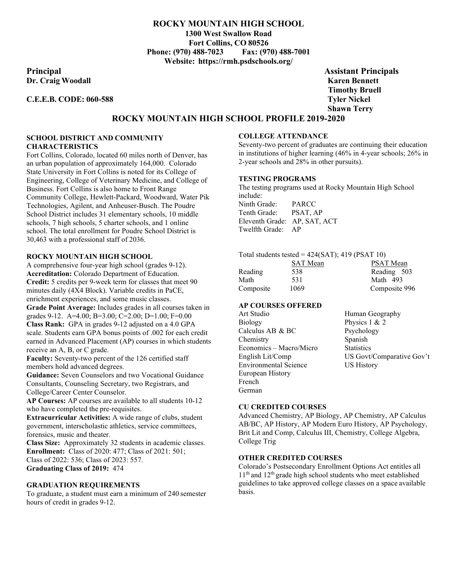## **ROCKY MOUNTAIN HIGH SCHOOL**

**1300 West Swallow Road Fort Collins, CO 80526 Phone: (970) 488-7023 Fax: (970) 488-7001 Website: https://rmh.psdschools.org/**

**Principal Assistant Principals Dr. Craig Woodall Karen Bennett**

### **C.E.E.B. CODE: 060-588 Tyler Nickel**

**Timothy Bruell Shawn Terry**

# **ROCKY MOUNTAIN HIGH SCHOOL PROFILE 2019-2020**

## **SCHOOL DISTRICT AND COMMUNITY CHARACTERISTICS**

Fort Collins, Colorado, located 60 miles north of Denver, has an urban population of approximately 164,000. Colorado State University in Fort Collins is noted for its College of Engineering, College of Veterinary Medicine, and College of Business. Fort Collins is also home to Front Range Community College, Hewlett-Packard, Woodward, Water Pik Technologies, Agilent, and Anheuser-Busch. The Poudre School District includes 31 elementary schools, 10 middle schools, 7 high schools, 5 charter schools, and 1 online school. The total enrollment for Poudre School District is 30,463 with a professional staff of 2036.

#### **ROCKY MOUNTAIN HIGH SCHOOL**

A comprehensive four-year high school (grades 9-12). **Accreditation:** Colorado Department of Education. **Credit:** 5 credits per 9-week term for classes that meet 90 minutes daily (4X4 Block). Variable credits in PaCE, enrichment experiences, and some music classes. **Grade Point Average:** Includes grades in all courses taken in grades 9-12. A=4.00; B=3.00; C=2.00; D=1.00; F=0.00 **Class Rank:** GPA in grades 9-12 adjusted on a 4.0 GPA scale. Students earn GPA bonus points of .002 for each credit earned in Advanced Placement (AP) courses in which students receive an A, B, or C grade.

Faculty: Seventy-two percent of the 126 certified staff members hold advanced degrees.

**Guidance:** Seven Counselors and two Vocational Guidance Consultants, Counseling Secretary, two Registrars, and College/Career Center Counselor.

**AP Courses:** AP courses are available to all students 10-12 who have completed the pre-requisites.

**Extracurricular Activities:** A wide range of clubs, student government, interscholastic athletics, service committees, forensics, music and theater.

**Class Size:** Approximately 32 students in academic classes. **Enrollment:** Class of 2020: 477; Class of 2021: 501; Class of 2022: 536; Class of 2023: 557. **Graduating Class of 2019:** 474

#### **GRADUATION REQUIREMENTS**

To graduate, a student must earn a minimum of 240 semester hours of credit in grades 9-12.

#### **COLLEGE ATTENDANCE**

Seventy-two percent of graduates are continuing their education in institutions of higher learning (46% in 4-year schools; 26% in 2-year schools and 28% in other pursuits).

#### **TESTING PROGRAMS**

The testing programs used at Rocky Mountain High School include: Ninth Grade: PARCC Tenth Grade: PSAT, AP Eleventh Grade: AP, SAT, ACT Twelfth Grade: AP

| Total students tested = $424(SAT)$ ; 419 (PSAT 10) |                 |                  |  |
|----------------------------------------------------|-----------------|------------------|--|
|                                                    | <b>SAT</b> Mean | <b>PSAT Mean</b> |  |
| Reading                                            | 538             | Reading 503      |  |
| Math                                               | 531             | Math 493         |  |

Composite 1069 Composite 996

#### **AP COURSES OFFERED**

| Art Studio                   | Human Geography           |
|------------------------------|---------------------------|
| Biology                      | Physics $1 & 2$           |
| Calculus AB & BC             | Psychology                |
| Chemistry                    | Spanish                   |
| Economics - Macro/Micro      | <b>Statistics</b>         |
| English Lit/Comp             | US Govt/Comparative Gov't |
| <b>Environmental Science</b> | <b>US History</b>         |
| European History             |                           |
| French                       |                           |
| German                       |                           |

#### **CU CREDITED COURSES**

Advanced Chemistry, AP Biology, AP Chemistry, AP Calculus AB/BC, AP History, AP Modern Euro History, AP Psychology, Brit Lit and Comp, Calculus III, Chemistry, College Algebra, College Trig

#### **OTHER CREDITED COURSES**

Colorado's Postsecondary Enrollment Options Act entitles all 11<sup>th</sup> and 12<sup>th</sup> grade high school students who meet established guidelines to take approved college classes on a space available basis.